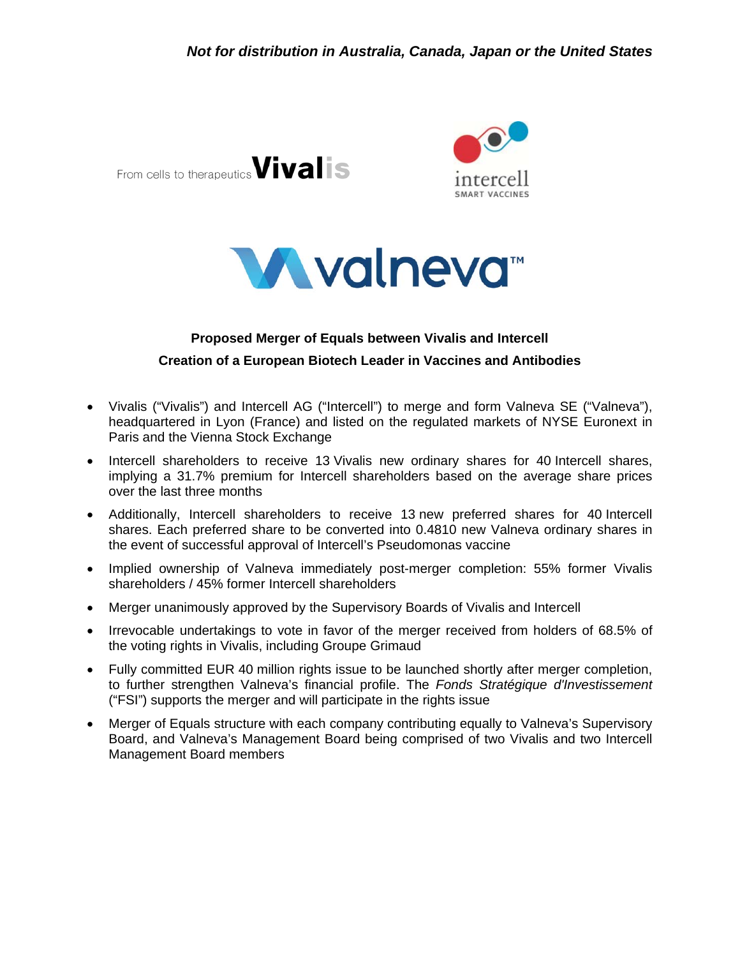





# **Proposed Merger of Equals between Vivalis and Intercell Creation of a European Biotech Leader in Vaccines and Antibodies**

- Vivalis ("Vivalis") and Intercell AG ("Intercell") to merge and form Valneva SE ("Valneva"), headquartered in Lyon (France) and listed on the regulated markets of NYSE Euronext in Paris and the Vienna Stock Exchange
- Intercell shareholders to receive 13 Vivalis new ordinary shares for 40 Intercell shares, implying a 31.7% premium for Intercell shareholders based on the average share prices over the last three months
- Additionally, Intercell shareholders to receive 13 new preferred shares for 40 Intercell shares. Each preferred share to be converted into 0.4810 new Valneva ordinary shares in the event of successful approval of Intercell's Pseudomonas vaccine
- Implied ownership of Valneva immediately post-merger completion: 55% former Vivalis shareholders / 45% former Intercell shareholders
- Merger unanimously approved by the Supervisory Boards of Vivalis and Intercell
- Irrevocable undertakings to vote in favor of the merger received from holders of 68.5% of the voting rights in Vivalis, including Groupe Grimaud
- Fully committed EUR 40 million rights issue to be launched shortly after merger completion, to further strengthen Valneva's financial profile. The *Fonds Stratégique d'Investissement* ("FSI") supports the merger and will participate in the rights issue
- Merger of Equals structure with each company contributing equally to Valneva's Supervisory Board, and Valneva's Management Board being comprised of two Vivalis and two Intercell Management Board members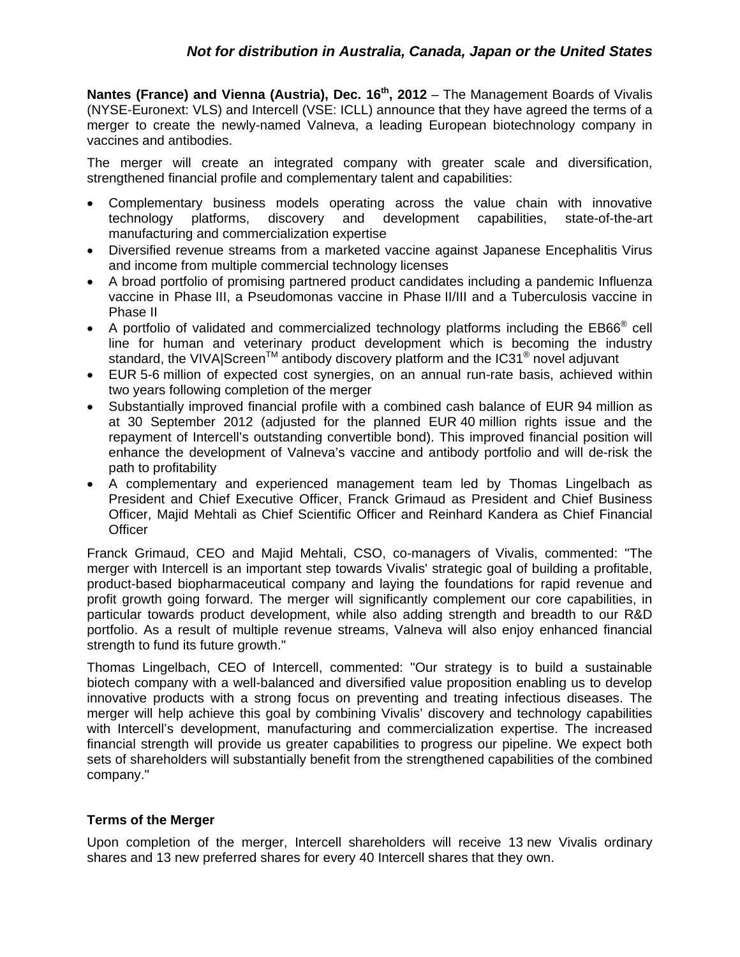**Nantes (France) and Vienna (Austria), Dec. 16<sup>th</sup>, 2012** – The Management Boards of Vivalis (NYSE-Euronext: VLS) and Intercell (VSE: ICLL) announce that they have agreed the terms of a merger to create the newly-named Valneva, a leading European biotechnology company in vaccines and antibodies.

The merger will create an integrated company with greater scale and diversification, strengthened financial profile and complementary talent and capabilities:

- Complementary business models operating across the value chain with innovative technology platforms, discovery and development capabilities, state-of-the-art manufacturing and commercialization expertise
- Diversified revenue streams from a marketed vaccine against Japanese Encephalitis Virus and income from multiple commercial technology licenses
- A broad portfolio of promising partnered product candidates including a pandemic Influenza vaccine in Phase III, a Pseudomonas vaccine in Phase II/III and a Tuberculosis vaccine in Phase II
- A portfolio of validated and commercialized technology platforms including the  $EB66^{\circ}$  cell line for human and veterinary product development which is becoming the industry standard, the VIVA|Screen™ antibody discovery platform and the IC31<sup>®</sup> novel adjuvant
- EUR 5-6 million of expected cost synergies, on an annual run-rate basis, achieved within two years following completion of the merger
- Substantially improved financial profile with a combined cash balance of EUR 94 million as at 30 September 2012 (adjusted for the planned EUR 40 million rights issue and the repayment of Intercell's outstanding convertible bond). This improved financial position will enhance the development of Valneva's vaccine and antibody portfolio and will de-risk the path to profitability
- A complementary and experienced management team led by Thomas Lingelbach as President and Chief Executive Officer, Franck Grimaud as President and Chief Business Officer, Majid Mehtali as Chief Scientific Officer and Reinhard Kandera as Chief Financial **Officer**

Franck Grimaud, CEO and Majid Mehtali, CSO, co-managers of Vivalis, commented: "The merger with Intercell is an important step towards Vivalis' strategic goal of building a profitable, product-based biopharmaceutical company and laying the foundations for rapid revenue and profit growth going forward. The merger will significantly complement our core capabilities, in particular towards product development, while also adding strength and breadth to our R&D portfolio. As a result of multiple revenue streams, Valneva will also enjoy enhanced financial strength to fund its future growth."

Thomas Lingelbach, CEO of Intercell, commented: "Our strategy is to build a sustainable biotech company with a well-balanced and diversified value proposition enabling us to develop innovative products with a strong focus on preventing and treating infectious diseases. The merger will help achieve this goal by combining Vivalis' discovery and technology capabilities with Intercell's development, manufacturing and commercialization expertise. The increased financial strength will provide us greater capabilities to progress our pipeline. We expect both sets of shareholders will substantially benefit from the strengthened capabilities of the combined company."

## **Terms of the Merger**

Upon completion of the merger, Intercell shareholders will receive 13 new Vivalis ordinary shares and 13 new preferred shares for every 40 Intercell shares that they own.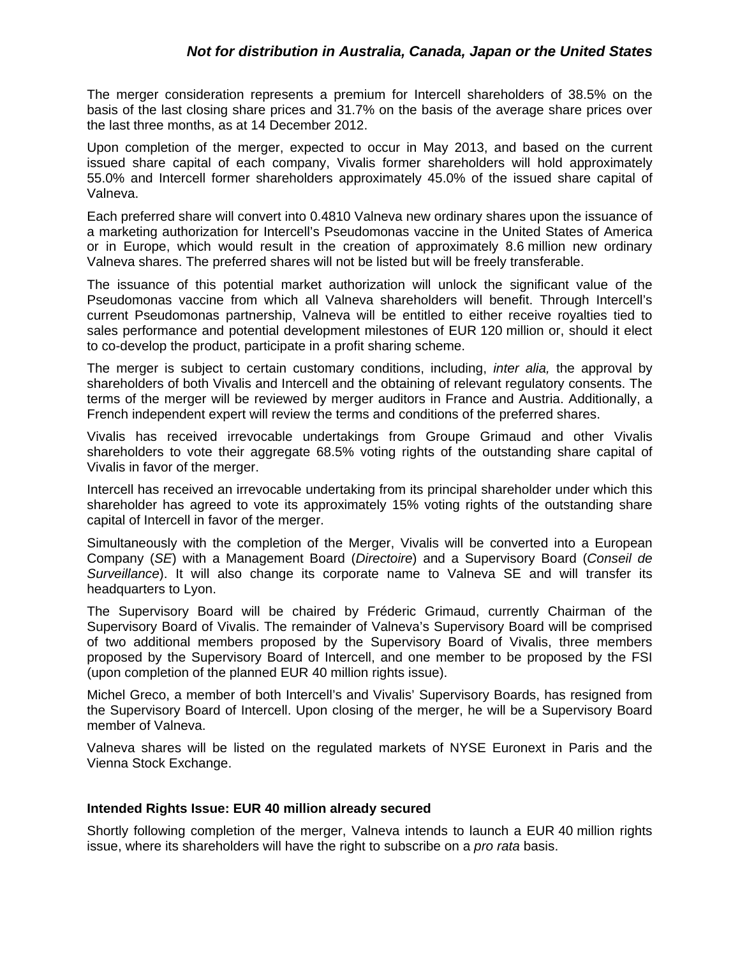#### *Not for distribution in Australia, Canada, Japan or the United States*

The merger consideration represents a premium for Intercell shareholders of 38.5% on the basis of the last closing share prices and 31.7% on the basis of the average share prices over the last three months, as at 14 December 2012.

Upon completion of the merger, expected to occur in May 2013, and based on the current issued share capital of each company, Vivalis former shareholders will hold approximately 55.0% and Intercell former shareholders approximately 45.0% of the issued share capital of Valneva.

Each preferred share will convert into 0.4810 Valneva new ordinary shares upon the issuance of a marketing authorization for Intercell's Pseudomonas vaccine in the United States of America or in Europe, which would result in the creation of approximately 8.6 million new ordinary Valneva shares. The preferred shares will not be listed but will be freely transferable.

The issuance of this potential market authorization will unlock the significant value of the Pseudomonas vaccine from which all Valneva shareholders will benefit. Through Intercell's current Pseudomonas partnership, Valneva will be entitled to either receive royalties tied to sales performance and potential development milestones of EUR 120 million or, should it elect to co-develop the product, participate in a profit sharing scheme.

The merger is subject to certain customary conditions, including, *inter alia,* the approval by shareholders of both Vivalis and Intercell and the obtaining of relevant regulatory consents. The terms of the merger will be reviewed by merger auditors in France and Austria. Additionally, a French independent expert will review the terms and conditions of the preferred shares.

Vivalis has received irrevocable undertakings from Groupe Grimaud and other Vivalis shareholders to vote their aggregate 68.5% voting rights of the outstanding share capital of Vivalis in favor of the merger.

Intercell has received an irrevocable undertaking from its principal shareholder under which this shareholder has agreed to vote its approximately 15% voting rights of the outstanding share capital of Intercell in favor of the merger.

Simultaneously with the completion of the Merger, Vivalis will be converted into a European Company (*SE*) with a Management Board (*Directoire*) and a Supervisory Board (*Conseil de Surveillance*). It will also change its corporate name to Valneva SE and will transfer its headquarters to Lyon.

The Supervisory Board will be chaired by Fréderic Grimaud, currently Chairman of the Supervisory Board of Vivalis. The remainder of Valneva's Supervisory Board will be comprised of two additional members proposed by the Supervisory Board of Vivalis, three members proposed by the Supervisory Board of Intercell, and one member to be proposed by the FSI (upon completion of the planned EUR 40 million rights issue).

Michel Greco, a member of both Intercell's and Vivalis' Supervisory Boards, has resigned from the Supervisory Board of Intercell. Upon closing of the merger, he will be a Supervisory Board member of Valneva.

Valneva shares will be listed on the regulated markets of NYSE Euronext in Paris and the Vienna Stock Exchange.

#### **Intended Rights Issue: EUR 40 million already secured**

Shortly following completion of the merger, Valneva intends to launch a EUR 40 million rights issue, where its shareholders will have the right to subscribe on a *pro rata* basis.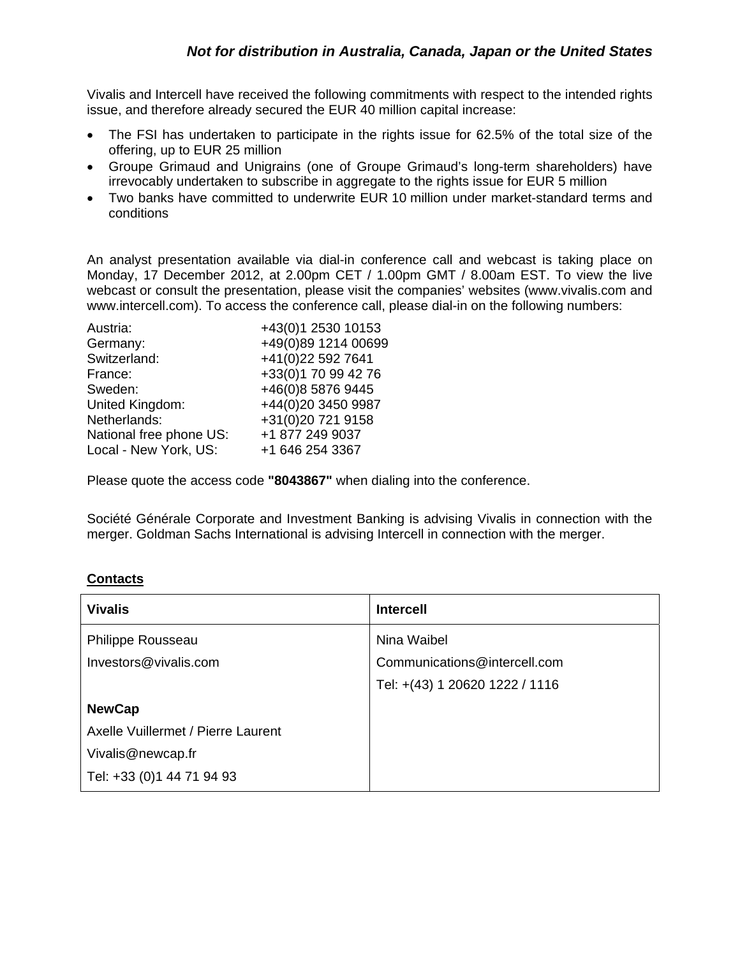Vivalis and Intercell have received the following commitments with respect to the intended rights issue, and therefore already secured the EUR 40 million capital increase:

- The FSI has undertaken to participate in the rights issue for 62.5% of the total size of the offering, up to EUR 25 million
- Groupe Grimaud and Unigrains (one of Groupe Grimaud's long-term shareholders) have irrevocably undertaken to subscribe in aggregate to the rights issue for EUR 5 million
- Two banks have committed to underwrite EUR 10 million under market-standard terms and conditions

An analyst presentation available via dial-in conference call and webcast is taking place on Monday, 17 December 2012, at 2.00pm CET / 1.00pm GMT / 8.00am EST. To view the live webcast or consult the presentation, please visit the companies' websites (www.vivalis.com and www.intercell.com). To access the conference call, please dial-in on the following numbers:

| +43(0)1 2530 10153  |
|---------------------|
| +49(0)89 1214 00699 |
| +41(0)22 592 7641   |
| +33(0)1 70 99 42 76 |
| +46(0)8 5876 9445   |
| +44(0)20 3450 9987  |
| +31(0)20 721 9158   |
| +1 877 249 9037     |
| +1 646 254 3367     |
|                     |

Please quote the access code **"8043867"** when dialing into the conference.

Société Générale Corporate and Investment Banking is advising Vivalis in connection with the merger. Goldman Sachs International is advising Intercell in connection with the merger.

## **Contacts**

| <b>Vivalis</b>                     | <b>Intercell</b>               |
|------------------------------------|--------------------------------|
| Philippe Rousseau                  | Nina Waibel                    |
| Investors@vivalis.com              | Communications@intercell.com   |
|                                    | Tel: +(43) 1 20620 1222 / 1116 |
| <b>NewCap</b>                      |                                |
| Axelle Vuillermet / Pierre Laurent |                                |
| Vivalis@newcap.fr                  |                                |
| Tel: +33 (0)1 44 71 94 93          |                                |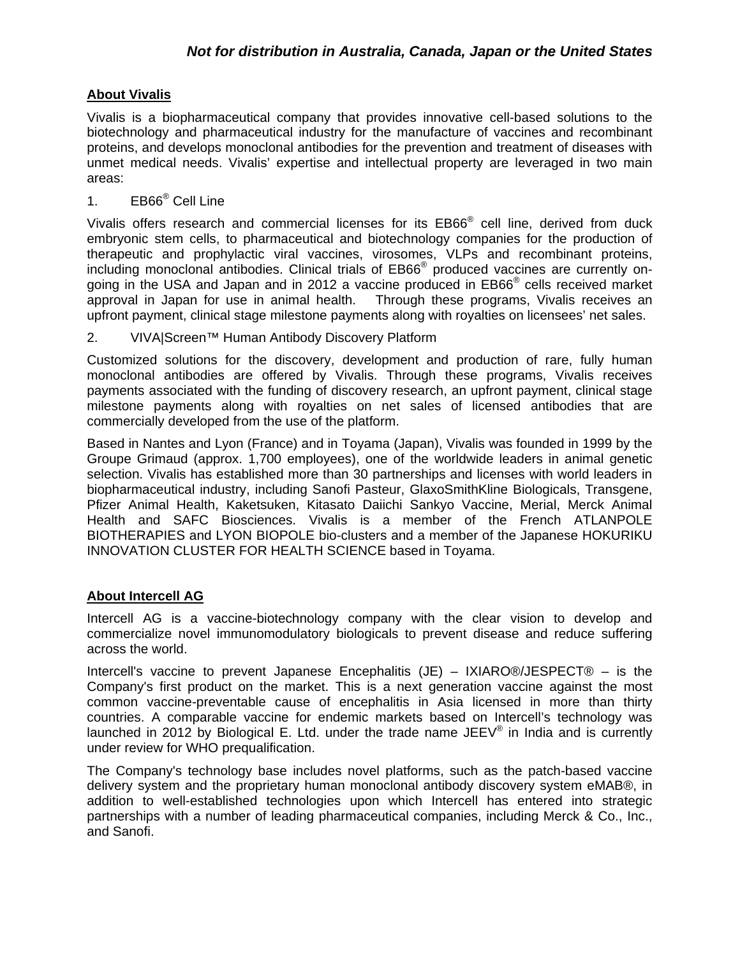# **About Vivalis**

Vivalis is a biopharmaceutical company that provides innovative cell-based solutions to the biotechnology and pharmaceutical industry for the manufacture of vaccines and recombinant proteins, and develops monoclonal antibodies for the prevention and treatment of diseases with unmet medical needs. Vivalis' expertise and intellectual property are leveraged in two main areas:

1. EB66® Cell Line

Vivalis offers research and commercial licenses for its EB66® cell line, derived from duck embryonic stem cells, to pharmaceutical and biotechnology companies for the production of therapeutic and prophylactic viral vaccines, virosomes, VLPs and recombinant proteins, including monoclonal antibodies. Clinical trials of EB66® produced vaccines are currently ongoing in the USA and Japan and in 2012 a vaccine produced in EB66® cells received market approval in Japan for use in animal health. Through these programs, Vivalis receives an upfront payment, clinical stage milestone payments along with royalties on licensees' net sales.

2. VIVA|Screen™ Human Antibody Discovery Platform

Customized solutions for the discovery, development and production of rare, fully human monoclonal antibodies are offered by Vivalis. Through these programs, Vivalis receives payments associated with the funding of discovery research, an upfront payment, clinical stage milestone payments along with royalties on net sales of licensed antibodies that are commercially developed from the use of the platform.

Based in Nantes and Lyon (France) and in Toyama (Japan), Vivalis was founded in 1999 by the Groupe Grimaud (approx. 1,700 employees), one of the worldwide leaders in animal genetic selection. Vivalis has established more than 30 partnerships and licenses with world leaders in biopharmaceutical industry, including Sanofi Pasteur, GlaxoSmithKline Biologicals, Transgene, Pfizer Animal Health, Kaketsuken, Kitasato Daiichi Sankyo Vaccine, Merial, Merck Animal Health and SAFC Biosciences. Vivalis is a member of the French ATLANPOLE BIOTHERAPIES and LYON BIOPOLE bio-clusters and a member of the Japanese HOKURIKU INNOVATION CLUSTER FOR HEALTH SCIENCE based in Toyama.

## **About Intercell AG**

Intercell AG is a vaccine-biotechnology company with the clear vision to develop and commercialize novel immunomodulatory biologicals to prevent disease and reduce suffering across the world.

Intercell's vaccine to prevent Japanese Encephalitis (JE) – IXIARO®/JESPECT® – is the Company's first product on the market. This is a next generation vaccine against the most common vaccine-preventable cause of encephalitis in Asia licensed in more than thirty countries. A comparable vaccine for endemic markets based on Intercell's technology was launched in 2012 by Biological E. Ltd. under the trade name JEEV<sup>®</sup> in India and is currently under review for WHO prequalification.

The Company's technology base includes novel platforms, such as the patch-based vaccine delivery system and the proprietary human monoclonal antibody discovery system eMAB®, in addition to well-established technologies upon which Intercell has entered into strategic partnerships with a number of leading pharmaceutical companies, including Merck & Co., Inc., and Sanofi.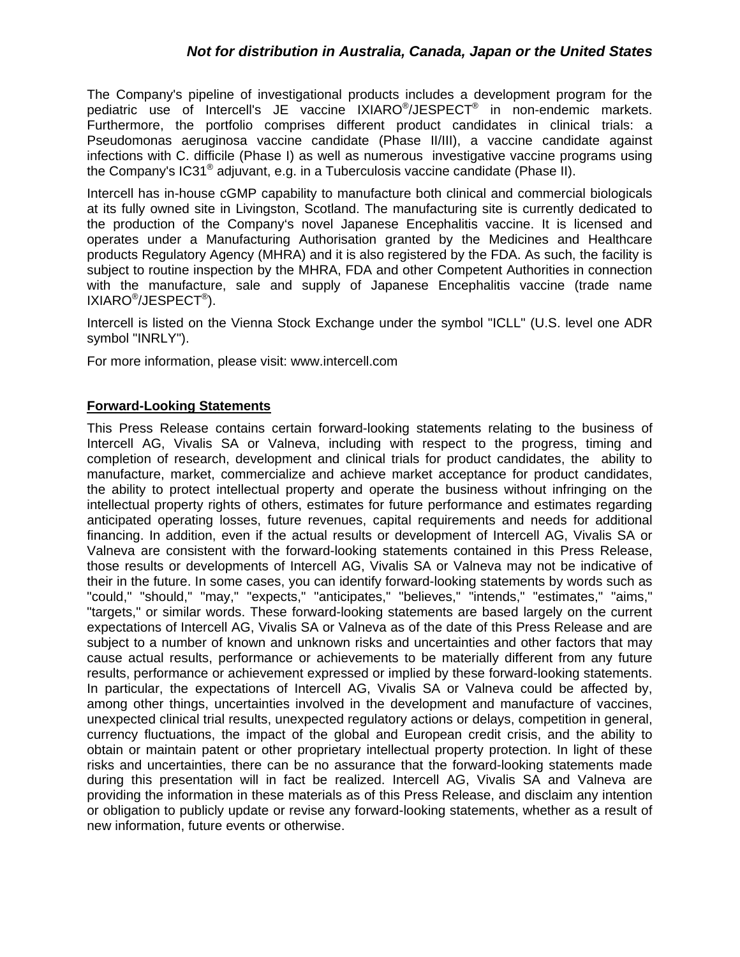The Company's pipeline of investigational products includes a development program for the pediatric use of Intercell's JE vaccine IXIARO®/JESPECT® in non-endemic markets. Furthermore, the portfolio comprises different product candidates in clinical trials: a Pseudomonas aeruginosa vaccine candidate (Phase II/III), a vaccine candidate against infections with C. difficile (Phase I) as well as numerous investigative vaccine programs using the Company's IC31® adjuvant, e.g. in a Tuberculosis vaccine candidate (Phase II).

Intercell has in-house cGMP capability to manufacture both clinical and commercial biologicals at its fully owned site in Livingston, Scotland. The manufacturing site is currently dedicated to the production of the Company's novel Japanese Encephalitis vaccine. It is licensed and operates under a Manufacturing Authorisation granted by the Medicines and Healthcare products Regulatory Agency (MHRA) and it is also registered by the FDA. As such, the facility is subject to routine inspection by the MHRA, FDA and other Competent Authorities in connection with the manufacture, sale and supply of Japanese Encephalitis vaccine (trade name IXIARO®/JESPECT®).

Intercell is listed on the Vienna Stock Exchange under the symbol "ICLL" (U.S. level one ADR symbol "INRLY").

For more information, please visit: www.intercell.com

#### **Forward-Looking Statements**

This Press Release contains certain forward-looking statements relating to the business of Intercell AG, Vivalis SA or Valneva, including with respect to the progress, timing and completion of research, development and clinical trials for product candidates, the ability to manufacture, market, commercialize and achieve market acceptance for product candidates, the ability to protect intellectual property and operate the business without infringing on the intellectual property rights of others, estimates for future performance and estimates regarding anticipated operating losses, future revenues, capital requirements and needs for additional financing. In addition, even if the actual results or development of Intercell AG, Vivalis SA or Valneva are consistent with the forward-looking statements contained in this Press Release, those results or developments of Intercell AG, Vivalis SA or Valneva may not be indicative of their in the future. In some cases, you can identify forward-looking statements by words such as "could," "should," "may," "expects," "anticipates," "believes," "intends," "estimates," "aims," "targets," or similar words. These forward-looking statements are based largely on the current expectations of Intercell AG, Vivalis SA or Valneva as of the date of this Press Release and are subject to a number of known and unknown risks and uncertainties and other factors that may cause actual results, performance or achievements to be materially different from any future results, performance or achievement expressed or implied by these forward-looking statements. In particular, the expectations of Intercell AG, Vivalis SA or Valneva could be affected by, among other things, uncertainties involved in the development and manufacture of vaccines, unexpected clinical trial results, unexpected regulatory actions or delays, competition in general, currency fluctuations, the impact of the global and European credit crisis, and the ability to obtain or maintain patent or other proprietary intellectual property protection. In light of these risks and uncertainties, there can be no assurance that the forward-looking statements made during this presentation will in fact be realized. Intercell AG, Vivalis SA and Valneva are providing the information in these materials as of this Press Release, and disclaim any intention or obligation to publicly update or revise any forward-looking statements, whether as a result of new information, future events or otherwise.